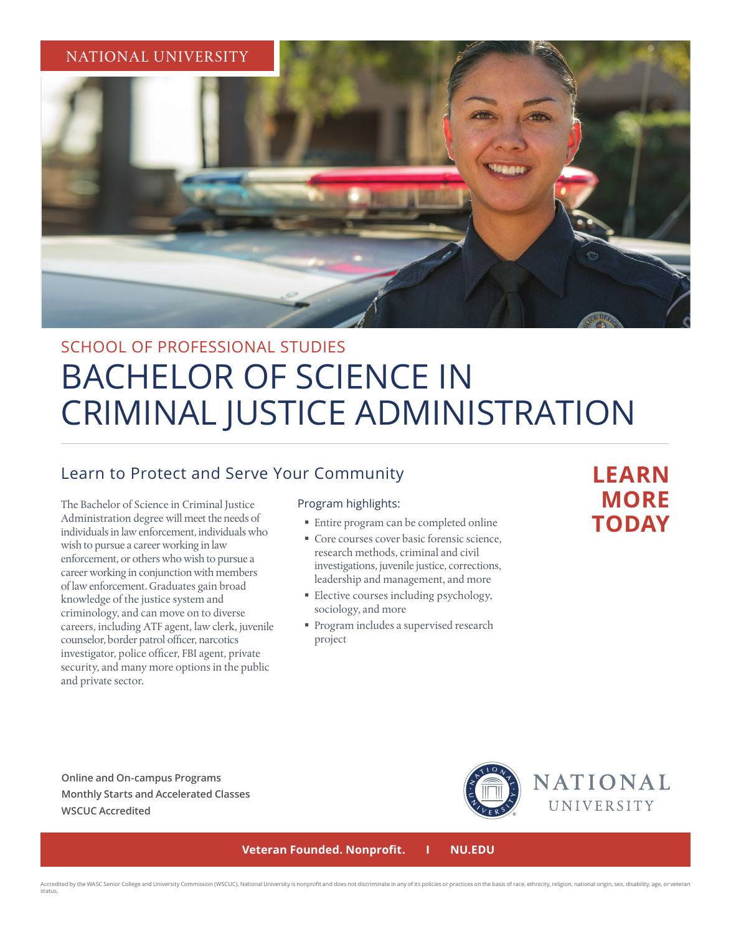

# SCHOOL OF PROFESSIONAL STUDIES BACHELOR OF SCIENCE IN CRIMINAL JUSTICE ADMINISTRATION

### Learn to Protect and Serve Your Community

The Bachelor of Science in Criminal Justice Administration degree will meet the needs of individuals in law enforcement, individuals who wish to pursue a career working in law enforcement, or others who wish to pursue a career working in conjunction with members of law enforcement. Graduates gain broad knowledge of the justice system and criminology, and can move on to diverse careers, including ATF agent, law clerk, juvenile counselor, border patrol officer, narcotics investigator, police officer, FBI agent, private security, and many more options in the public and private sector.

#### Program highlights:

- Entire program can be completed online
- Core courses cover basic forensic science, research methods, criminal and civil investigations, juvenile justice, corrections, leadership and management, and more
- **Elective courses including psychology,** sociology, and more
- **Program includes a supervised research** project

## **LEARN MORE TODAY**

**Online and On-campus Programs Monthly Starts and Accelerated Classes WSCUC Accredited**



 **Veteran Founded. Nonprofit. I NU.EDU**

Accredited by the WASC Senior College and University Commission (WSCUC). National University is nonprofit and does not discriminate in any of its policies or practices on the basis of race, ethnicity, religion, national or status.